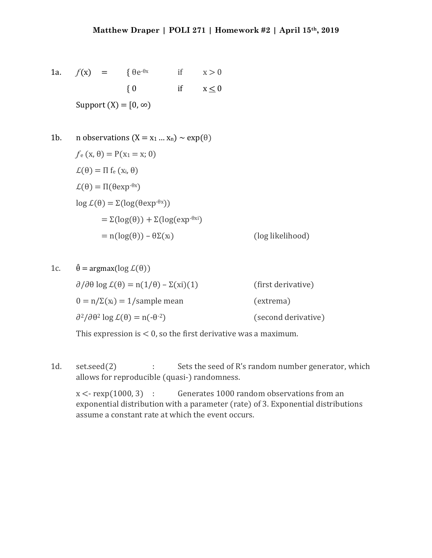1a. 
$$
f(x) = \{ \theta e^{-\theta x} \text{ if } x > 0
$$
  
 $\{ 0 \text{ if } x \le 0 \}$   
Support (X) = [0, \infty)

1b. n observations  $(X = x_1 ... x_n) \sim exp(\theta)$  $f_e(x, \theta) = P(x_1 = x; 0)$  $\mathcal{L}(\theta) = \Pi \operatorname{f}_{e}(x_{i}, \theta)$  $\mathcal{L}(\theta) = \Pi(\theta \exp^{-\theta x})$ log  $L(θ) = Σ(log(θ exp<sup>-θx</sup>))$  $= \Sigma(\log(\theta)) + \Sigma(\log(\exp^{-\theta X)})$  $= n(\log(\theta)) - \theta \Sigma(x_i)$  (log likelihood)

```
1c. \hat{\theta} = \argmax(\log \mathcal{L}(\theta))\partial/\partial\theta log \mathcal{L}(\theta) = n(1/\theta) - \Sigma(xi)(1) (first derivative)
         0 = n/\Sigma(x_i) = 1/\text{sample mean} (extrema)
         \partial^2/\partial\theta^2 \log \mathcal{L}(\theta) = n(-\theta^{-2}) (second derivative)
```
This expression is  $< 0$ , so the first derivative was a maximum.

1d. set.seed(2) : Sets the seed of R's random number generator, which allows for reproducible (quasi-) randomness.

 $x < -$  rexp(1000, 3) : Generates 1000 random observations from an exponential distribution with a parameter (rate) of 3. Exponential distributions assume a constant rate at which the event occurs.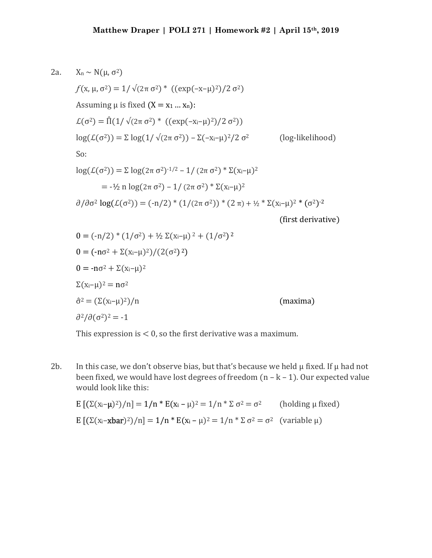2a. 
$$
X_n \sim N(\mu, \sigma^2) = 1/\sqrt{(2\pi \sigma^2)^*} ((exp(-x-\mu)^2)/2 \sigma^2)
$$
  
\n $f(x, \mu, \sigma^2) = 1/\sqrt{(2\pi \sigma^2)^*} ((exp(-x-\mu)^2)/2 \sigma^2)$   
\nAssuming  $\mu$  is fixed  $(X = x_1 ... x_n)$ :  
\n $\mathcal{L}(\sigma^2) = \hat{\Pi}(1/\sqrt{(2\pi \sigma^2)^*} ((exp(-x-\mu)^2)/2 \sigma^2))$   
\n $log(\mathcal{L}(\sigma^2)) = \Sigma log(1/\sqrt{(2\pi \sigma^2)}) - \Sigma (-x-\mu)^2/2 \sigma^2$  (log-likelihood)  
\nSo:  
\n $log(\mathcal{L}(\sigma^2)) = \Sigma log(2\pi \sigma^2)^{-1/2} - 1/(2\pi \sigma^2)^* \Sigma(x_i-\mu)^2$   
\n $= -\frac{1}{2}n log(2\pi \sigma^2) - 1/(2\pi \sigma^2)^* \Sigma(x_i-\mu)^2$   
\n $\frac{\partial}{\partial \sigma^2} log(\mathcal{L}(\sigma^2)) = (-n/2)^* (1/(2\pi \sigma^2))^* (2\pi) + \frac{1}{2} \Sigma(x_i-\mu)^2 * (\sigma^2)^{-2}$   
\n(first derivative)  
\n $0 = (-n/2)^* (1/\sigma^2) + \frac{1}{2} \Sigma(x_i-\mu)^2 + (1/\sigma^2)^2$   
\n $0 = (-n\sigma^2 + \Sigma(x_i-\mu)^2)/(2(\sigma^2)^2)$   
\n $0 = -n\sigma^2 + \Sigma(x_i-\mu)^2$   
\n $\Sigma(x_i-\mu)^2 = n\sigma^2$   
\n $\hat{\sigma}^2 = (\Sigma(x_i-\mu)^2)/n$  (maxima)

This expression is  $< 0$ , so the first derivative was a maximum.

2b. In this case, we don't observe bias, but that's because we held  $\mu$  fixed. If  $\mu$  had not been fixed, we would have lost degrees of freedom  $(n - k - 1)$ . Our expected value would look like this:

$$
E\left[\left(\Sigma(x_i-\mu)^2\right)/n\right] = 1/n * E(x_i - \mu)^2 = 1/n * \Sigma \sigma^2 = \sigma^2 \qquad \text{(holding } \mu \text{ fixed)}
$$
\n
$$
E\left[\left(\Sigma(x_i - xbar)^2\right)/n\right] = 1/n * E(x_i - \mu)^2 = 1/n * \Sigma \sigma^2 = \sigma^2 \quad \text{(variable } \mu\text{)}
$$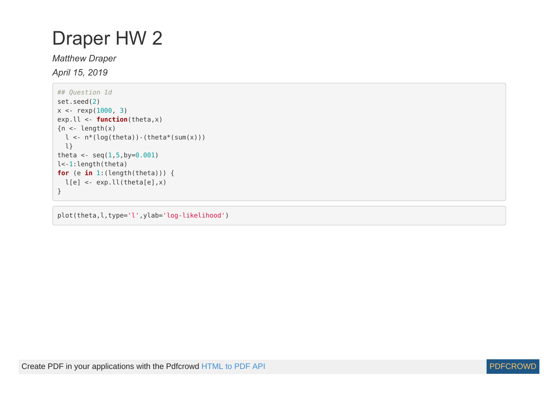## Draper HW 2

## *Matthew Draper*

*April 15, 2019*

```
## Question 1d
set.seed(2)
x < - rexp(1000, 3)
exp.ll <- function(theta,x)
{n <- length(x)
 l < -n*(log(theta)) - (theta*(sum(x))) l}
theta \leq seq(1,5,by=0.001)
l<-1:length(theta)
for (e in 1:(length(theta))) {
 l[e] \leq -exp.l(l(theta[e], x)}
```
plot(theta,l,type='l',ylab='log-likelihood')

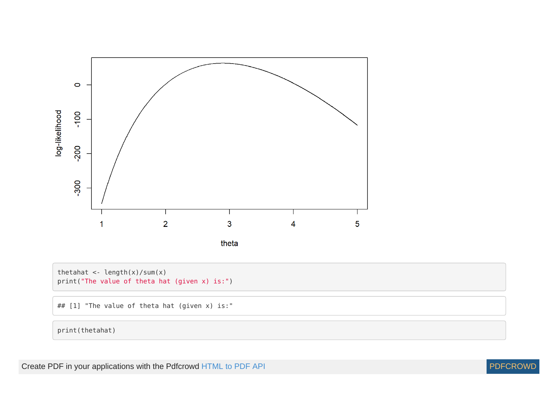

theta

thetahat <- length(x)/sum(x) print("The value of theta hat (given x) is:")

## [1] "The value of theta hat (given x) is:"

print(thetahat)

Create PDF in your applications with the Pdfcrowd [HTML to PDF API](https://pdfcrowd.com/doc/api/?ref=pdf) [PDFCROWD](https://pdfcrowd.com/?ref=pdf) Create PDF in your applications with the Pdfcrowd HTML to PDF API